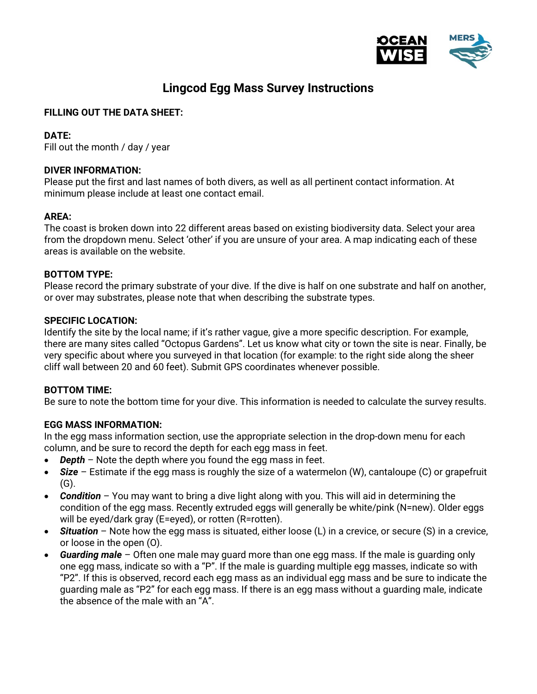

# Lingcod Egg Mass Survey Instructions

# FILLING OUT THE DATA SHEET:

# DATE:

Fill out the month / day / year

# DIVER INFORMATION:

Please put the first and last names of both divers, as well as all pertinent contact information. At minimum please include at least one contact email.

# AREA:

The coast is broken down into 22 different areas based on existing biodiversity data. Select your area from the dropdown menu. Select 'other' if you are unsure of your area. A map indicating each of these areas is available on the website.

# BOTTOM TYPE:

Please record the primary substrate of your dive. If the dive is half on one substrate and half on another, or over may substrates, please note that when describing the substrate types.

# SPECIFIC LOCATION:

Identify the site by the local name; if it's rather vague, give a more specific description. For example, there are many sites called "Octopus Gardens". Let us know what city or town the site is near. Finally, be very specific about where you surveyed in that location (for example: to the right side along the sheer cliff wall between 20 and 60 feet). Submit GPS coordinates whenever possible.

#### BOTTOM TIME:

Be sure to note the bottom time for your dive. This information is needed to calculate the survey results.

# EGG MASS INFORMATION:

In the egg mass information section, use the appropriate selection in the drop-down menu for each column, and be sure to record the depth for each egg mass in feet.

- Depth Note the depth where you found the egg mass in feet.
- Size Estimate if the egg mass is roughly the size of a watermelon (W), cantaloupe (C) or grapefruit  $(G)$ .
- Condition You may want to bring a dive light along with you. This will aid in determining the condition of the egg mass. Recently extruded eggs will generally be white/pink (N=new). Older eggs will be eyed/dark gray (E=eyed), or rotten (R=rotten).
- **Situation** Note how the egg mass is situated, either loose  $(L)$  in a crevice, or secure  $(S)$  in a crevice, or loose in the open (O).
- Guarding male Often one male may guard more than one egg mass. If the male is guarding only one egg mass, indicate so with a "P". If the male is guarding multiple egg masses, indicate so with "P2". If this is observed, record each egg mass as an individual egg mass and be sure to indicate the guarding male as "P2" for each egg mass. If there is an egg mass without a guarding male, indicate the absence of the male with an "A".